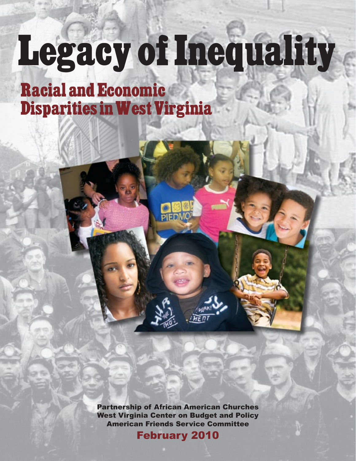# Legacy of Inequality

Racial and Economic Disparities in West Virginia

> Partnership of African American Churches West Virginia Center on Budget and Policy American Friends Service Committee

February 2010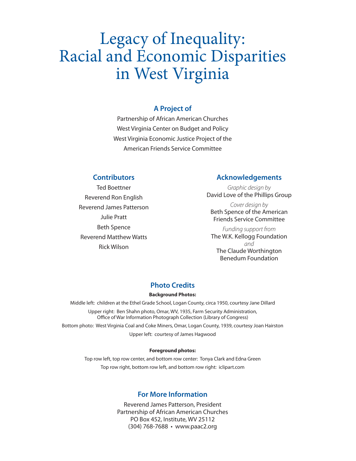# Legacy of Inequality: Racial and Economic Disparities in West Virginia

#### **A Project of**

Partnership of African American Churches West Virginia Center on Budget and Policy West Virginia Economic Justice Project of the American Friends Service Committee

#### **Contributors**

Ted Boettner Reverend Ron English Reverend James Patterson Julie Pratt Beth Spence Reverend Matthew Watts Rick Wilson

#### **Acknowledgements**

Graphic design by David Love of the Phillips Group

Cover design by Beth Spence of the American Friends Service Committee

Funding support from The W.K. Kellogg Foundation and The Claude Worthington Benedum Foundation

#### **Photo Credits**

#### **Background Photos:**

Middle left: children at the Ethel Grade School, Logan County, circa 1950, courtesy Jane Dillard Upper right: Ben Shahn photo, Omar, WV, 1935, Farm Security Administration, Office of War Information Photograph Collection (Library of Congress) Bottom photo: West Virginia Coal and Coke Miners, Omar, Logan County, 1939, courtesy Joan Hairston Upper left: courtesy of James Hagwood

#### **Foreground photos:**

Top row left, top row center, and bottom row center: Tonya Clark and Edna Green Top row right, bottom row left, and bottom row right: iclipart.com

#### **For More Information**

Reverend James Patterson, President Partnership of African American Churches PO Box 452, Institute, WV 25112 (304) 768-7688 · www.paac2.org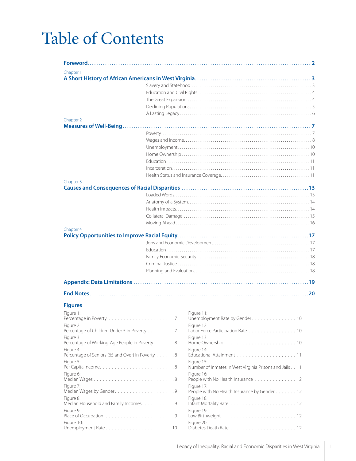# Table of Contents

| Chapter 1                                                  |  |                                                                       |
|------------------------------------------------------------|--|-----------------------------------------------------------------------|
|                                                            |  |                                                                       |
|                                                            |  |                                                                       |
|                                                            |  |                                                                       |
|                                                            |  |                                                                       |
|                                                            |  |                                                                       |
|                                                            |  |                                                                       |
| Chapter 2                                                  |  |                                                                       |
|                                                            |  |                                                                       |
|                                                            |  |                                                                       |
|                                                            |  |                                                                       |
|                                                            |  |                                                                       |
|                                                            |  |                                                                       |
|                                                            |  |                                                                       |
|                                                            |  |                                                                       |
|                                                            |  |                                                                       |
| Chapter 3                                                  |  |                                                                       |
|                                                            |  |                                                                       |
|                                                            |  |                                                                       |
|                                                            |  |                                                                       |
|                                                            |  |                                                                       |
|                                                            |  |                                                                       |
| Chapter 4                                                  |  |                                                                       |
|                                                            |  |                                                                       |
|                                                            |  |                                                                       |
|                                                            |  |                                                                       |
|                                                            |  |                                                                       |
|                                                            |  |                                                                       |
|                                                            |  |                                                                       |
|                                                            |  |                                                                       |
|                                                            |  |                                                                       |
|                                                            |  |                                                                       |
|                                                            |  |                                                                       |
| <b>Figures</b>                                             |  |                                                                       |
| Figure 1:                                                  |  | Figure 11:                                                            |
|                                                            |  | Unemployment Rate by Gender10                                         |
| Figure 2:                                                  |  | Figure 12:                                                            |
| Percentage of Children Under 5 in Poverty 7                |  | Labor Force Participation Rate 10                                     |
| Figure 3:<br>Percentage of Working-Age People in Poverty 8 |  | Figure 13:                                                            |
| Figure 4:                                                  |  | Figure 14:                                                            |
| Percentage of Seniors (65 and Over) in Poverty 8           |  |                                                                       |
| Figure 5:                                                  |  | Figure 15:<br>Number of Inmates in West Virginia Prisons and Jails 11 |
| Figure 6:                                                  |  | Figure 16:                                                            |
| Median Wages8                                              |  | People with No Health Insurance 12                                    |
| Figure 7:                                                  |  | Figure 17:<br>People with No Health Insurance by Gender 12            |
| Figure 8:<br>Median Household and Family Incomes. 9        |  | Figure 18:                                                            |
| Figure 9:                                                  |  | Figure 19:                                                            |
| Figure 10:                                                 |  | Figure 20:                                                            |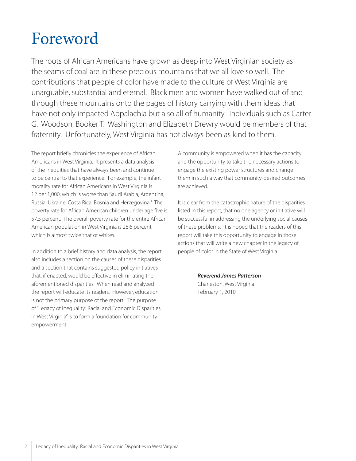# Foreword

The roots of African Americans have grown as deep into West Virginian society as the seams of coal are in these precious mountains that we all love so well. The contributions that people of color have made to the culture of West Virginia are unarguable, substantial and eternal. Black men and women have walked out of and through these mountains onto the pages of history carrying with them ideas that have not only impacted Appalachia but also all of humanity. Individuals such as Carter G. Woodson, Booker T. Washington and Elizabeth Drewry would be members of that fraternity. Unfortunately, West Virginia has not always been as kind to them.

The report briefly chronicles the experience of African Americans in West Virginia. It presents a data analysis of the inequities that have always been and continue to be central to that experience. For example, the infant morality rate for African Americans in West Virginia is 12 per 1,000, which is worse than Saudi Arabia, Argentina, Russia, Ukraine, Costa Rica, Bosnia and Herzegovina. 1 The poverty rate for African American children under age five is 57.5 percent. The overall poverty rate for the entire African American population in West Virginia is 28.6 percent, which is almost twice that of whites.

In addition to a brief history and data analysis, the report also includes a section on the causes of these disparities and a section that contains suggested policy initiatives that, if enacted, would be effective in eliminating the aforementioned disparities. When read and analyzed the report will educate its readers. However, education is not the primary purpose of the report. The purpose of "Legacy of Inequality: Racial and Economic Disparities in West Virginia" is to form a foundation for community empowerment.

A community is empowered when it has the capacity and the opportunity to take the necessary actions to engage the existing power structures and change them in such a way that community-desired outcomes are achieved.

It is clear from the catastrophic nature of the disparities listed in this report, that no one agency or initiative will be successful in addressing the underlying social causes of these problems. It is hoped that the readers of this report will take this opportunity to engage in those actions that will write a new chapter in the legacy of people of color in the State of West Virginia.

**— Reverend James Patterson** Charleston, West Virginia February 1, 2010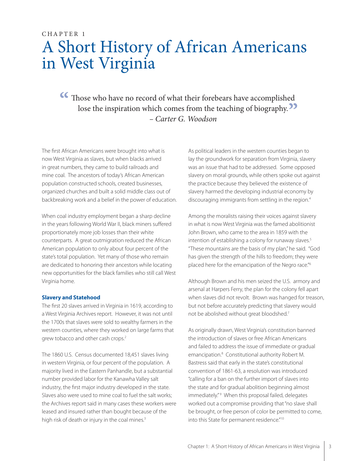### CHAPTER 1 A Short History of African Americans in West Virginia

**Those who have no record of what their forebears have accomplished lose the inspiration which comes from the teaching of biography.** lose the inspiration which comes from the teaching of biography.<sup>11</sup><br>- *Carter G. Woodson* – Carter G. Woodson

The first African Americans were brought into what is now West Virginia as slaves, but when blacks arrived in great numbers, they came to build railroads and mine coal. The ancestors of today's African American population constructed schools, created businesses, organized churches and built a solid middle class out of backbreaking work and a belief in the power of education.

When coal industry employment began a sharp decline in the years following World War II, black miners suffered proportionately more job losses than their white counterparts. A great outmigration reduced the African American population to only about four percent of the state's total population. Yet many of those who remain are dedicated to honoring their ancestors while locating new opportunities for the black families who still call West Virginia home.

#### **Slavery and Statehood**

The first 20 slaves arrived in Virginia in 1619, according to a West Virginia Archives report. However, it was not until the 1700s that slaves were sold to wealthy farmers in the western counties, where they worked on large farms that grew tobacco and other cash crops.<sup>2</sup>

The 1860 U.S. Census documented 18,451 slaves living in western Virginia, or four percent of the population. A majority lived in the Eastern Panhandle, but a substantial number provided labor for the Kanawha Valley salt industry, the first major industry developed in the state. Slaves also were used to mine coal to fuel the salt works; the Archives report said in many cases these workers were leased and insured rather than bought because of the high risk of death or injury in the coal mines.<sup>3</sup>

As political leaders in the western counties began to lay the groundwork for separation from Virginia, slavery was an issue that had to be addressed. Some opposed slavery on moral grounds, while others spoke out against the practice because they believed the existence of slavery harmed the developing industrial economy by discouraging immigrants from settling in the region. 4

Among the moralists raising their voices against slavery in what is now West Virginia was the famed abolitionist John Brown, who came to the area in 1859 with the intention of establishing a colony for runaway slaves. 5 "These mountains are the basis of my plan," he said. "God has given the strength of the hills to freedom; they were placed here for the emancipation of the Negro race."<sup>6</sup>

Although Brown and his men seized the U.S. armory and arsenal at Harpers Ferry, the plan for the colony fell apart when slaves did not revolt. Brown was hanged for treason, but not before accurately predicting that slavery would not be abolished without great bloodshed. 7

As originally drawn, West Virginia's constitution banned the introduction of slaves or free African Americans and failed to address the issue of immediate or gradual emancipation. 8 Constitutional authority Robert M. Bastress said that early in the state's constitutional convention of 1861-63, a resolution was introduced "calling for a ban on the further import of slaves into the state and for gradual abolition beginning almost immediately."<sup>9</sup> When this proposal failed, delegates worked out a compromise providing that "no slave shall be brought, or free person of color be permitted to come, into this State for permanent residence."<sup>10</sup>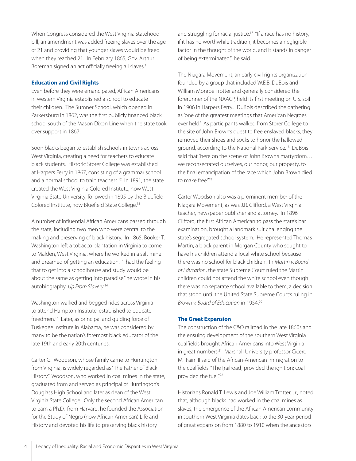When Congress considered the West Virginia statehood bill, an amendment was added freeing slaves over the age of 21 and providing that younger slaves would be freed when they reached 21. In February 1865, Gov. Arthur I. Boreman signed an act officially freeing all slaves.<sup>11</sup>

#### **Education and Civil Rights**

Even before they were emancipated, African Americans in western Virginia established a school to educate their children. The Sumner School, which opened in Parkersburg in 1862, was the first publicly financed black school south of the Mason Dixon Line when the state took over support in 1867.

Soon blacks began to establish schools in towns across West Virginia, creating a need for teachers to educate black students. Historic Storer College was established at Harpers Ferry in 1867, consisting of a grammar school and a normal school to train teachers. 12 In 1891, the state created the West Virginia Colored Institute, now West Virginia State University, followed in 1895 by the Bluefield Colored Institute, now Bluefield State College.<sup>13</sup>

A number of influential African Americans passed through the state, including two men who were central to the making and preserving of black history. In 1865, Booker T. Washington left a tobacco plantation in Virginia to come to Malden, West Virginia, where he worked in a salt mine and dreamed of getting an education. "I had the feeling that to get into a schoolhouse and study would be about the same as getting into paradise," he wrote in his autobiography, Up From Slavery.<sup>14</sup>

Washington walked and begged rides across Virginia to attend Hampton Institute, established to educate freedmen. 16 Later, as principal and guiding force of Tuskegee Institute in Alabama, he was considered by many to be the nation's foremost black educator of the late 19th and early 20th centuries.

Carter G. Woodson, whose family came to Huntington from Virginia, is widely regarded as "The Father of Black History." Woodson, who worked in coal mines in the state, graduated from and served as principal of Huntington's Douglass High School and later as dean of the West Virginia State College. Only the second African American to earn a Ph.D. from Harvard, he founded the Association for the Study of Negro (now African American) Life and History and devoted his life to preserving black history

and struggling for racial justice.<sup>17</sup> "If a race has no history, if it has no worthwhile tradition, it becomes a negligible factor in the thought of the world, and it stands in danger of being exterminated," he said.

The Niagara Movement, an early civil rights organization founded by a group that included W.E.B. DuBois and William Monroe Trotter and generally considered the forerunner of the NAACP, held its first meeting on U.S. soil in 1906 in Harpers Ferry.. DuBois described the gathering as "one of the greatest meetings that American Negroes ever held." As participants walked from Storer College to the site of John Brown's quest to free enslaved blacks, they removed their shoes and socks to honor the hallowed ground, according to the National Park Service. 18 DuBois said that "here on the scene of John Brown's martyrdom… we reconsecrated ourselves, our honor, our property, to the final emancipation of the race which John Brown died to make free."<sup>19</sup>

Carter Woodson also was a prominent member of the Niagara Movement, as was J.R. Clifford, a West Virginia teacher, newspaper publisher and attorney. In 1896 Clifford, the first African American to pass the state's bar examination, brought a landmark suit challenging the state's segregated school system. He represented Thomas Martin, a black parent in Morgan County who sought to have his children attend a local white school because there was no school for black children. In Martin v. Board of Education, the state Supreme Court ruled the Martin children could not attend the white school even though there was no separate school available to them, a decision that stood until the United State Supreme Court's ruling in Brown v. Board of Education in 1954.<sup>20</sup>

#### **The Great Expansion**

The construction of the C&O railroad in the late 1860s and the ensuing development of the southern West Virginia coalfields brought African Americans into West Virginia in great numbers. 21 Marshall University professor Cicero M. Fain III said of the African-American immigration to the coalfields, "The [railroad] provided the ignition; coal provided the fuel."<sup>22</sup>

Historians Ronald T. Lewis and Joe William Trotter, Jr., noted that, although blacks had worked in the coal mines as slaves, the emergence of the African American community in southern West Virginia dates back to the 30-year period of great expansion from 1880 to 1910 when the ancestors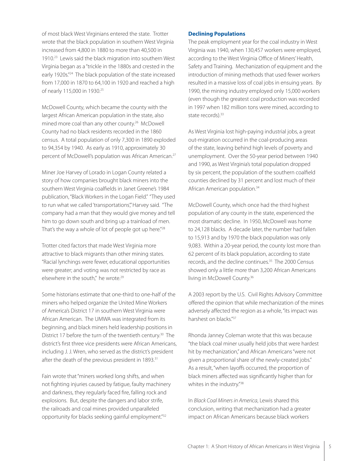of most black West Virginians entered the state. Trotter wrote that the black population in southern West Virginia increased from 4,800 in 1880 to more than 40,500 in 1910. 23 Lewis said the black migration into southern West Virginia began as a "trickle in the 1880s and crested in the early 1920s."<sup>24</sup> The black population of the state increased from 17,000 in 1870 to 64,100 in 1920 and reached a high of nearly 115,000 in 1930. 25

McDowell County, which became the county with the largest African American population in the state, also mined more coal than any other county. 26 McDowell County had no black residents recorded in the 1860 census. A total population of only 7,300 in 1890 exploded to 94,354 by 1940. As early as 1910, approximately 30 percent of McDowell's population was African American. 27

Miner Joe Harvey of Lorado in Logan County related a story of how companies brought black miners into the southern West Virginia coalfields in Janet Greene's 1984 publication, "Black Workers in the Logan Field." "They used to run what we called 'transportations" Harvey said. "The company had a man that they would give money and tell him to go down south and bring up a trainload of men. That's the way a whole of lot of people got up here."<sup>28</sup>

Trotter cited factors that made West Virginia more attractive to black migrants than other mining states. "Racial lynchings were fewer, educational opportunities were greater; and voting was not restricted by race as elsewhere in the south," he wrote.<sup>29</sup>

Some historians estimate that one-third to one-half of the miners who helped organize the United Mine Workers of America's District 17 in southern West Virginia were African American. The UMWA was integrated from its beginning, and black miners held leadership positions in District 17 before the turn of the twentieth century. 30 The district's first three vice presidents were African Americans, including J. J. Wren, who served as the district's president after the death of the previous president in 1893.<sup>31</sup>

Fain wrote that "miners worked long shifts, and when not fighting injuries caused by fatigue, faulty machinery and darkness, they regularly faced fire, falling rock and explosions. But, despite the dangers and labor strife, the railroads and coal mines provided unparalleled opportunity for blacks seeking gainful employment."<sup>32</sup>

#### **Declining Populations**

The peak employment year for the coal industry in West Virginia was 1940, when 130,457 workers were employed, according to the West Virginia Office of Miners' Health, Safety and Training. Mechanization of equipment and the introduction of mining methods that used fewer workers resulted in a massive loss of coal jobs in ensuing years. By 1990, the mining industry employed only 15,000 workers (even though the greatest coal production was recorded in 1997 when 182 million tons were mined, according to state records). 33

As West Virginia lost high-paying industrial jobs, a great out-migration occurred in the coal-producing areas of the state, leaving behind high levels of poverty and unemployment. Over the 50-year period between 1940 and 1990, as West Virginia's total population dropped by six percent, the population of the southern coalfield counties declined by 31 percent and lost much of their African American population. 34

McDowell County, which once had the third highest population of any county in the state, experienced the most dramatic decline. In 1950, McDowell was home to 24,128 blacks. A decade later, the number had fallen to 15,913 and by 1970 the black population was only 9,083. Within a 20-year period, the county lost more than 62 percent of its black population, according to state records, and the decline continues. 35 The 2000 Census showed only a little more than 3,200 African Americans living in McDowell County. 36

A 2003 report by the U.S. Civil Rights Advisory Committee offered the opinion that while mechanization of the mines adversely affected the region as a whole, "its impact was harshest on blacks." 37

Rhonda Janney Coleman wrote that this was because "the black coal miner usually held jobs that were hardest hit by mechanization," and African Americans "were not given a proportional share of the newly-created jobs." As a result, "when layoffs occurred, the proportion of black miners affected was significantly higher than for whites in the industry." 38

In Black Coal Miners in America, Lewis shared this conclusion, writing that mechanization had a greater impact on African Americans because black workers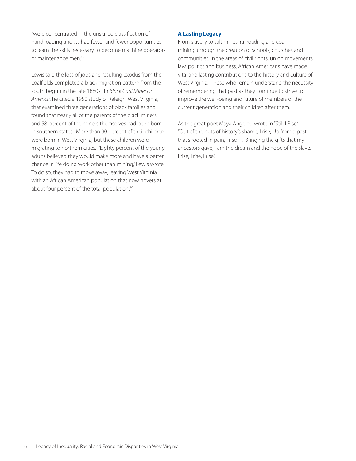"were concentrated in the unskilled classification of hand loading and … had fewer and fewer opportunities to learn the skills necessary to become machine operators or maintenance men." 39

Lewis said the loss of jobs and resulting exodus from the coalfields completed a black migration pattern from the south begun in the late 1880s. In Black Coal Miners in America, he cited a 1950 study of Raleigh, West Virginia, that examined three generations of black families and found that nearly all of the parents of the black miners and 58 percent of the miners themselves had been born in southern states. More than 90 percent of their children were born in West Virginia, but these children were migrating to northern cities. "Eighty percent of the young adults believed they would make more and have a better chance in life doing work other than mining," Lewis wrote. To do so, they had to move away, leaving West Virginia with an African American population that now hovers at about four percent of the total population.<sup>40</sup>

#### **A Lasting Legacy**

From slavery to salt mines, railroading and coal mining, through the creation of schools, churches and communities, in the areas of civil rights, union movements, law, politics and business, African Americans have made vital and lasting contributions to the history and culture of West Virginia. Those who remain understand the necessity of remembering that past as they continue to strive to improve the well-being and future of members of the current generation and their children after them.

As the great poet Maya Angelou wrote in "Still I Rise": "Out of the huts of history's shame, I rise; Up from a past that's rooted in pain, I rise … Bringing the gifts that my ancestors gave; I am the dream and the hope of the slave. I rise, I rise, I rise."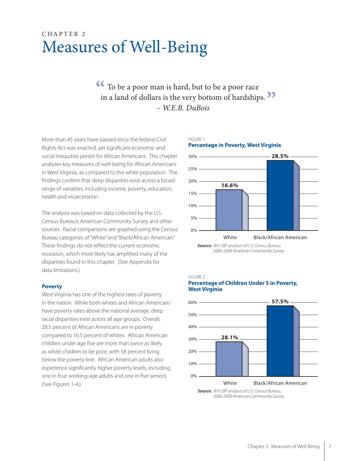### CHAPTER 2 Measures of Well-Being

### **4** To be a poor man is hard, but to be a poor race in a land of dollars is the very bottom of hardship in a land of dollars is the very bottom of hardships.<br>
<sup>2</sup> - *W.E.B. DuBois* – W.E.B. DuBois

FIGURE 1

More than 45 years have passed since the federal Civil Rights Act was enacted, yet significant economic and social inequities persist for African Americans. This chapter analyzes key measures of well-being for African Americans in West Virginia, as compared to the white population. The findings confirm that deep disparities exist across a broad range of variables, including income, poverty, education, health and incarceration.

The analysis was based on data collected by the U.S. Census Bureau's American Community Survey and other sources. Racial comparisons are graphed using the Census Bureau categories of "White" and "Black/African American." These findings do not reflect the current economic recession, which most likely has amplified many of the disparities found in this chapter. (See Appendix for data limitations.)

#### **Poverty**

West Virginia has one of the highest rates of poverty in the nation. While both whites and African Americans have poverty rates above the national average, deep racial disparities exist across all age groups. Overall, 28.5 percent of African Americans are in poverty compared to 16.5 percent of whites. African American children under age five are more than twice as likely as white children to be poor, with 58 percent living below the poverty line. African American adults also experience significantly higher poverty levels, including one in four working-age adults and one in five seniors. (See Figures 1-4.)

#### **Percentage in Poverty, West Virginia** 0% 5% 10% 15% 20% 25% 30% White Black/African American **16.6% 28.5%**

**Source:** WV CBP analysis of U.S. Census Bureau, 2006-2008 American Community Survey

FIGURE 2





**Source:** WV CBP analysis of U.S. Census Bureau, 2006-2008 American Community Survey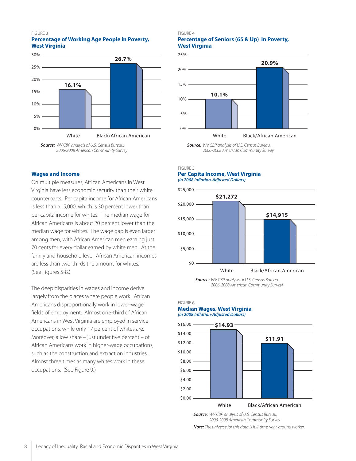#### FIGURE 3

#### **Percentage of Working Age People in Poverty, West Virginia**



<sup>2006-2008</sup> American Community Survey

#### **Wages and Income**

On multiple measures, African Americans in West Virginia have less economic security than their white counterparts. Per capita income for African Americans is less than \$15,000, which is 30 percent lower than per capita income for whites. The median wage for African Americans is about 20 percent lower than the median wage for whites. The wage gap is even larger among men, with African American men earning just 70 cents for every dollar earned by white men. At the family and household level, African American incomes are less than two-thirds the amount for whites. (See Figures 5-8.)

The deep disparities in wages and income derive largely from the places where people work. African Americans disproportionally work in lower-wage fields of employment. Almost one-third of African Americans in West Virginia are employed in service occupations, while only 17 percent of whites are. Moreover, a low share – just under five percent – of African Americans work in higher-wage occupations, such as the construction and extraction industries. Almost three times as many whites work in these occupations. (See Figure 9.)

#### FIGURE 4

#### **Percentage of Seniors (65 & Up) in Poverty, West Virginia**





**Source:** WV CBP analysis of U.S. Census Bureau, 2006-2008 American Community Survey

#### FIGURE 5 **Per Capita Income, West Virginia (In 2008 In!ation-Adjusted Dollars)**



**Source:** WV CBP analysis of U.S. Census Bureau, 2006-2008 American Community Survey!

#### FIGURE 6 **Median Wages, West Virginia (In 2008 In!ation-Adjusted Dollars)**



**Source:** WV CBP analysis of U.S. Census Bureau, 2006-2008 American Community Survey **Note:** The universe for this data is full-time, year-around worker.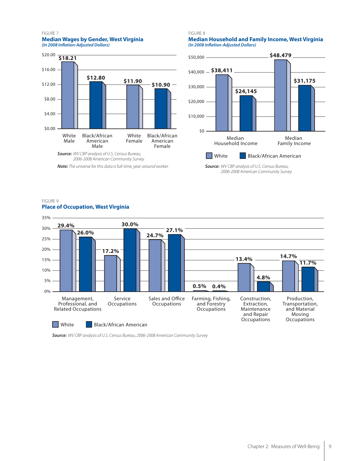#### FIGURE 7 **Median Wages by Gender, West Virginia (In 2008 In!ation-Adjusted Dollars)**



**Note:** The universe for this data is full-time, year-around worker.

#### FIGURE 8

**Median Household and Family Income, West Virginia (In 2008 In!ation-Adjusted Dollars)**



**Source:** WV CBP analysis of U.S. Census Bureau, 2006-2008 American Community Survey

#### FIGURE 9 **Place of Occupation, West Virginia**



**Source:** WV CBP analysis of U.S. Census Bureau, 2006-2008 American Community Survey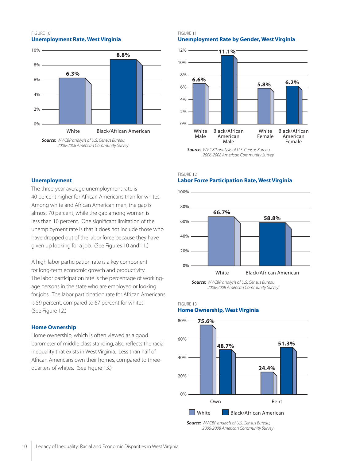#### FIGURE 10 **Unemployment Rate, West Virginia**





#### FIGURE 11 **Unemployment Rate by Gender, West Virginia**



2006-2008 American Community Survey

#### **Unemployment**

The three-year average unemployment rate is 40 percent higher for African Americans than for whites. Among white and African American men, the gap is almost 70 percent, while the gap among women is less than 10 percent. One significant limitation of the unemployment rate is that it does not include those who have dropped out of the labor force because they have given up looking for a job. (See Figures 10 and 11.)

A high labor participation rate is a key component for long-term economic growth and productivity. The labor participation rate is the percentage of workingage persons in the state who are employed or looking for jobs. The labor participation rate for African Americans is 59 percent, compared to 67 percent for whites. (See Figure 12.)

#### **Home Ownership**

Home ownership, which is often viewed as a good barometer of middle class standing, also reflects the racial inequality that exists in West Virginia. Less than half of African Americans own their homes, compared to threequarters of whites. (See Figure 13.)

#### FIGURE 12

#### **Labor Force Participation Rate, West Virginia**



**Source:** WV CBP analysis of U.S. Census Bureau, 2006-2008 American Community Survey!

#### FIGURE 13

#### **Home Ownership, West Virginia**



**Source:** WV CBP analysis of U.S. Census Bureau, 2006-2008 American Community Survey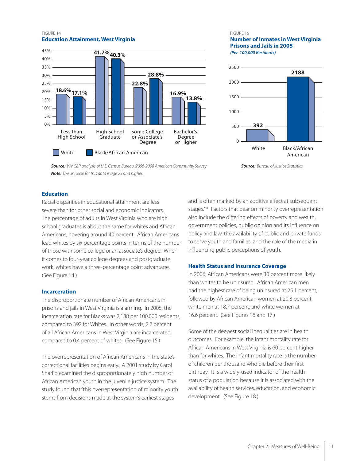#### FIGURE 14 **Education Attainment, West Virginia**



#### FIGURE 15

#### **Number of Inmates in West Virginia Prisons and Jails in 2005 (Per 100,000 Residents)**



**Source:** WV CBP analysis of U.S. Census Bureau, 2006-2008 American Community Survey **Note:** The universe for this data is age 25 and higher.

#### **Education**

Racial disparities in educational attainment are less severe than for other social and economic indicators. The percentage of adults in West Virginia who are high school graduates is about the same for whites and African Americans, hovering around 40 percent. African Americans lead whites by six percentage points in terms of the number of those with some college or an associate's degree. When it comes to four-year college degrees and postgraduate work, whites have a three-percentage point advantage. (See Figure 14.)

#### **Incarceration**

The disproportionate number of African Americans in prisons and jails in West Virginia is alarming. In 2005, the incarceration rate for Blacks was 2,188 per 100,000 residents, compared to 392 for Whites. In other words, 2.2 percent of all African Americans in West Virginia are incarcerated, compared to 0.4 percent of whites. (See Figure 15.)

The overrepresentation of African Americans in the state's correctional facilities begins early. A 2001 study by Carol Sharlip examined the disproportionately high number of African American youth in the juvenile justice system. The study found that "this overrepresentation of minority youth stems from decisions made at the system's earliest stages

and is often marked by an additive effect at subsequent stages."<sup>41</sup> Factors that bear on minority overrepresentation also include the differing effects of poverty and wealth, government policies, public opinion and its influence on policy and law, the availability of public and private funds to serve youth and families, and the role of the media in influencing public perceptions of youth.

#### **Health Status and Insurance Coverage**

In 2006, African Americans were 30 percent more likely than whites to be uninsured. African American men had the highest rate of being uninsured at 25.1 percent, followed by African American women at 20.8 percent, white men at 18.7 percent, and white women at 16.6 percent. (See Figures 16 and 17.)

Some of the deepest social inequalities are in health outcomes. For example, the infant mortality rate for African Americans in West Virginia is 60 percent higher than for whites. The infant mortality rate is the number of children per thousand who die before their first birthday. It is a widely-used indicator of the health status of a population because it is associated with the availability of health services, education, and economic development. (See Figure 18.)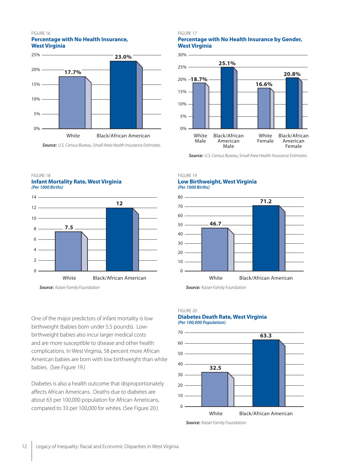#### FIGURE 16 **Percentage with No Health Insurance, West Virginia**



**Source:** U.S. Census Bureau, Small Area Health Insurance Estimates.

#### FIGURE 17

#### **Percentage with No Health Insurance by Gender, West Virginia**



**Source:** U.S. Census Bureau, Small Area Health Insurance Estimates.

#### FIGURE 18

**Infant Mortality Rate, West Virginia (Per 1000 Births)**



**Source:** Kaiser Family Foundation

One of the major predictors of infant mortality is low birthweight (babies born under 5.5 pounds). Lowbirthweight babies also incur larger medical costs and are more susceptible to disease and other health complications. In West Virginia, 58 percent more African American babies are born with low birthweight than white babies. (See Figure 19.)

Diabetes is also a health outcome that disproportionately affects African Americans. Deaths due to diabetes are about 63 per 100,000 population for African Americans, compared to 33 per 100,000 for whites. (See Figure 20.)

#### FIGURE 19 **Low Birthweight, West Virginia (Per 1000 Births)**



**Source:** Kaiser Family Foundation

#### FIGURE 20 **Diabetes Death Rate, West Virginia**

#### **(Per 100,000 Population)**



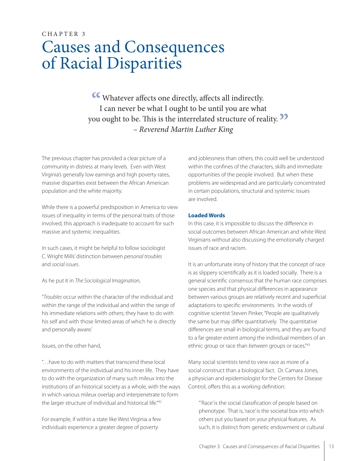# CHAPTER 3 Causes and Consequences of Racial Disparities

K Whatever affects one directly, affects all indirectly.<br>I can never be what I ought to be until you are what I can never be what I ought to be until you are what you ought to be. This is the interrelated structure of reality. **"**<br>- Reverend Martin Luther King – Reverend Martin Luther King

The previous chapter has provided a clear picture of a community in distress at many levels. Even with West Virginia's generally low earnings and high poverty rates, massive disparities exist between the African American population and the white majority.

While there is a powerful predisposition in America to view issues of inequality in terms of the personal traits of those involved, this approach is inadequate to account for such massive and systemic inequalities.

In such cases, it might be helpful to follow sociologist C. Wright Mills' distinction between personal troubles and social issues.

#### As he put it in The Sociological Imagination,

"Troubles occur within the character of the individual and within the range of the individual and within the range of his immediate relations with others; they have to do with his self and with those limited areas of which he is directly and personally aware.'

#### Issues, on the other hand,

"…have to do with matters that transcend these local environments of the individual and his inner life. They have to do with the organization of many such mileux into the institutions of an historical society as a whole, with the ways in which various mileux overlap and interpenetrate to form the larger structure of individual and historical life."<sup>42</sup>

For example, if within a state like West Virginia a few individuals experience a greater degree of poverty

and joblessness than others, this could well be understood within the confines of the characters, skills and immediate opportunities of the people involved. But when these problems are widespread and are particularly concentrated in certain populations, structural and systemic issues are involved.

#### **Loaded Words**

In this case, it is impossible to discuss the difference in social outcomes between African American and white West Virginians without also discussing the emotionally charged issues of race and racism.

It is an unfortunate irony of history that the concept of race is as slippery scientifically as it is loaded socially. There is a general scientific consensus that the human race comprises one species and that physical differences in appearance between various groups are relatively recent and superficial adaptations to specific environments. In the words of cognitive scientist Steven Pinker, "People are qualitatively the same but may differ quantitatively. The quantitative differences are small in biological terms, and they are found to a far greater extent *among* the individual members of an ethnic group or race than between groups or races."<sup>43</sup>

Many social scientists tend to view race as more of a social construct than a biological fact. Dr. Camara Jones, a physician and epidemiologist for the Centers for Disease Control, offers this as a working definition:

"'Race' is the social classification of people based on phenotype. That is, 'race' is the societal box into which others put you based on your physical features. As such, it is distinct from genetic endowment or cultural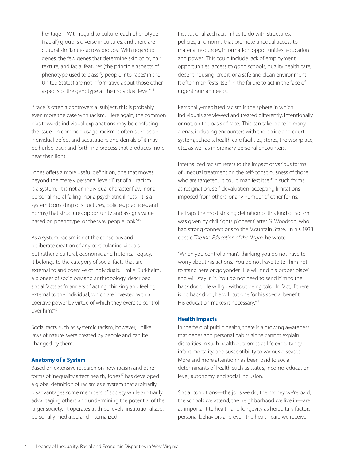heritage…With regard to culture, each phenotype ('racial') group is diverse in cultures, and there are cultural similarities across groups. With regard to genes, the few genes that determine skin color, hair texture, and facial features (the principle aspects of phenotype used to classify people into 'races' in the United States) are not informative about those other aspects of the genotype at the individual level."<sup>44</sup>

If race is often a controversial subject, this is probably even more the case with racism. Here again, the common bias towards individual explanations may be confusing the issue. In common usage, racism is often seen as an individual defect and accusations and denials of it may be hurled back and forth in a process that produces more heat than light.

Jones offers a more useful definition, one that moves beyond the merely personal level: "First of all, racism is a system. It is not an individual character flaw, nor a personal moral failing, nor a psychiatric illness. It is a system (consisting of structures, policies, practices, and norms) that structures opportunity and assigns value based on phenotype, or the way people look."<sup>45</sup>

As a system, racism is not the conscious and deliberate creation of any particular individuals but rather a cultural, economic and historical legacy. It belongs to the category of social facts that are external to and coercive of individuals. Emile Durkheim, a pioneer of sociology and anthropology, described social facts as "manners of acting, thinking and feeling external to the individual, which are invested with a coercive power by virtue of which they exercise control over him." 46

Social facts such as systemic racism, however, unlike laws of nature, were created by people and can be changed by them.

#### **Anatomy of a System**

Based on extensive research on how racism and other forms of inequality affect health, Jones<sup>47</sup> has developed a global definition of racism as a system that arbitrarily disadvantages some members of society while arbitrarily advantaging others and undermining the potential of the larger society. It operates at three levels: institutionalized, personally mediated and internalized.

Institutionalized racism has to do with structures, policies, and norms that promote unequal access to material resources, information, opportunities, education and power. This could include lack of employment opportunities, access to good schools, quality health care, decent housing, credit, or a safe and clean environment. It often manifests itself in the failure to act in the face of urgent human needs.

Personally-mediated racism is the sphere in which individuals are viewed and treated differently, intentionally or not, on the basis of race. This can take place in many arenas, including encounters with the police and court system, schools, health care facilities, stores, the workplace, etc., as well as in ordinary personal encounters.

Internalized racism refers to the impact of various forms of unequal treatment on the self-consciousness of those who are targeted. It could manifest itself in such forms as resignation, self-devaluation, accepting limitations imposed from others, or any number of other forms.

Perhaps the most striking definition of this kind of racism was given by civil rights pioneer Carter G. Woodson, who had strong connections to the Mountain State. In his 1933 classic The Mis-Education of the Negro, he wrote:

"When you control a man's thinking you do not have to worry about his actions. You do not have to tell him not to stand here or go yonder. He will find his 'proper place' and will stay in it. You do not need to send him to the back door. He will go without being told. In fact, if there is no back door, he will cut one for his special benefit. His education makes it necessary."47

#### **Health Impacts**

In the field of public health, there is a growing awareness that genes and personal habits alone cannot explain disparities in such health outcomes as life expectancy, infant mortality, and susceptibility to various diseases. More and more attention has been paid to social determinants of health such as status, income, education level, autonomy, and social inclusion.

Social conditions—the jobs we do, the money we're paid, the schools we attend, the neighborhood we live in—are as important to health and longevity as hereditary factors, personal behaviors and even the health care we receive.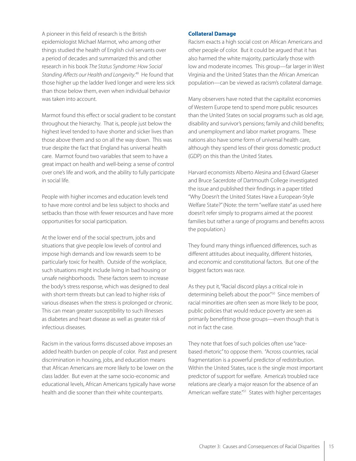A pioneer in this field of research is the British epidemiologist Michael Marmot, who among other things studied the health of English civil servants over a period of decades and summarized this and other research in his book The Status Syndrome: How Social Standing Affects our Health and Longevity.<sup>49</sup> He found that those higher up the ladder lived longer and were less sick than those below them, even when individual behavior was taken into account.

Marmot found this effect or social gradient to be constant throughout the hierarchy. That is, people just below the highest level tended to have shorter and sicker lives than those above them and so on all the way down. This was true despite the fact that England has universal health care. Marmot found two variables that seem to have a great impact on health and well-being: a sense of control over one's life and work, and the ability to fully participate in social life.

People with higher incomes and education levels tend to have more control and be less subject to shocks and setbacks than those with fewer resources and have more opportunities for social participation.

At the lower end of the social spectrum, jobs and situations that give people low levels of control and impose high demands and low rewards seem to be particularly toxic for health. Outside of the workplace, such situations might include living in bad housing or unsafe neighborhoods. These factors seem to increase the body's stress response, which was designed to deal with short-term threats but can lead to higher risks of various diseases when the stress is prolonged or chronic. This can mean greater susceptibility to such illnesses as diabetes and heart disease as well as greater risk of infectious diseases.

Racism in the various forms discussed above imposes an added health burden on people of color. Past and present discrimination in housing, jobs, and education means that African Americans are more likely to be lower on the class ladder. But even at the same socio-economic and educational levels, African Americans typically have worse health and die sooner than their white counterparts.

#### **Collateral Damage**

Racism exacts a high social cost on African Americans and other people of color. But it could be argued that it has also harmed the white majority, particularly those with low and moderate incomes. This group—far larger in West Virginia and the United States than the African American population—can be viewed as racism's collateral damage.

Many observers have noted that the capitalist economies of Western Europe tend to spend more public resources than the United States on social programs such as old age, disability and survivor's pensions; family and child benefits; and unemployment and labor market programs. These nations also have some form of universal health care, although they spend less of their gross domestic product (GDP) on this than the United States.

Harvard economists Alberto Alesina and Edward Glaeser and Bruce Sacerdote of Dartmouth College investigated the issue and published their findings in a paper titled "Why Doesn't the United States Have a European-Style Welfare State?" (Note: the term "welfare state" as used here doesn't refer simply to programs aimed at the poorest families but rather a range of programs and benefits across the population.)

They found many things influenced differences, such as different attitudes about inequality, different histories, and economic and constitutional factors. But one of the biggest factors was race.

As they put it, "Racial discord plays a critical role in determining beliefs about the poor." 50 Since members of racial minorities are often seen as more likely to be poor, public policies that would reduce poverty are seen as primarily benefitting those groups—even though that is not in fact the case.

They note that foes of such policies often use "racebased rhetoric" to oppose them. "Across countries, racial fragmentation is a powerful predictor of redistribution. Within the United States, race is the single most important predictor of support for welfare. America's troubled race relations are clearly a major reason for the absence of an American welfare state."<sup>51</sup> States with higher percentages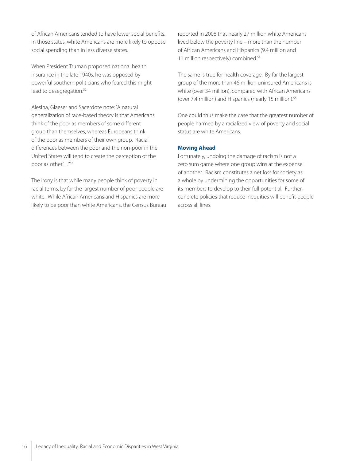of African Americans tended to have lower social benefits. In those states, white Americans are more likely to oppose social spending than in less diverse states.

When President Truman proposed national health insurance in the late 1940s, he was opposed by powerful southern politicians who feared this might lead to desegregation. 52

Alesina, Glaeser and Sacerdote note: "A natural generalization of race-based theory is that Americans think of the poor as members of some different group than themselves, whereas Europeans think of the poor as members of their own group. Racial differences between the poor and the non-poor in the United States will tend to create the perception of the poor as 'other'…"53

The irony is that while many people think of poverty in racial terms, by far the largest number of poor people are white. While African Americans and Hispanics are more likely to be poor than white Americans, the Census Bureau reported in 2008 that nearly 27 million white Americans lived below the poverty line – more than the number of African Americans and Hispanics (9.4 million and 11 million respectively) combined. 54

The same is true for health coverage. By far the largest group of the more than 46 million uninsured Americans is white (over 34 million), compared with African Americans (over 7.4 million) and Hispanics (nearly 15 million). 55

One could thus make the case that the greatest number of people harmed by a racialized view of poverty and social status are white Americans.

#### **Moving Ahead**

Fortunately, undoing the damage of racism is not a zero sum game where one group wins at the expense of another. Racism constitutes a net loss for society as a whole by undermining the opportunities for some of its members to develop to their full potential. Further, concrete policies that reduce inequities will benefit people across all lines.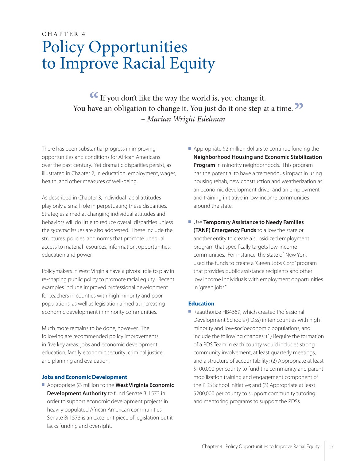# CHAPTER 4 Policy Opportunities to Improve Racial Equity

**If** you don't like the way the world is, you change it.<br>have an obligation to change it. You just do it one step at You have an obligation to change it. You just do it one step at a time.<br> *Narian Wright Edelman* – Marian Wright Edelman

There has been substantial progress in improving opportunities and conditions for African Americans over the past century. Yet dramatic disparities persist, as illustrated in Chapter 2, in education, employment, wages, health, and other measures of well-being.

As described in Chapter 3, individual racial attitudes play only a small role in perpetuating these disparities. Strategies aimed at changing individual attitudes and behaviors will do little to reduce overall disparities unless the systemic issues are also addressed. These include the structures, policies, and norms that promote unequal access to material resources, information, opportunities, education and power.

Policymakers in West Virginia have a pivotal role to play in re-shaping public policy to promote racial equity. Recent examples include improved professional development for teachers in counties with high minority and poor populations, as well as legislation aimed at increasing economic development in minority communities.

Much more remains to be done, however. The following are recommended policy improvements in five key areas: jobs and economic development; education; family economic security; criminal justice; and planning and evaluation.

#### **Jobs and Economic Development**

**E** Appropriate \$3 million to the **West Virginia Economic Development Authority** to fund Senate Bill 573 in order to support economic development projects in heavily populated African American communities. Senate Bill 573 is an excellent piece of legislation but it lacks funding and oversight.

- $\blacksquare$  Appropriate \$2 million dollars to continue funding the **Neighborhood Housing and Economic Stabilization Program** in minority neighborhoods. This program has the potential to have a tremendous impact in using housing rehab, new construction and weatherization as an economic development driver and an employment and training initiative in low-income communities around the state.
- **E** Use **Temporary Assistance to Needy Families (TANF) Emergency Funds** to allow the state or another entity to create a subsidized employment program that specifically targets low-income communities. For instance, the state of New York used the funds to create a "Green Jobs Corp" program that provides public assistance recipients and other low income Individuals with employment opportunities in "green jobs."

#### **Education**

■ Reauthorize HB4669, which created Professional Development Schools (PDSs) in ten counties with high minority and low-socioeconomic populations, and include the following changes: (1) Require the formation of a PDS Team in each county would includes strong community involvement, at least quarterly meetings, and a structure of accountability; (2) Appropriate at least \$100,000 per county to fund the community and parent mobilization training and engagement component of the PDS School Initiative; and (3) Appropriate at least \$200,000 per county to support community tutoring and mentoring programs to support the PDSs.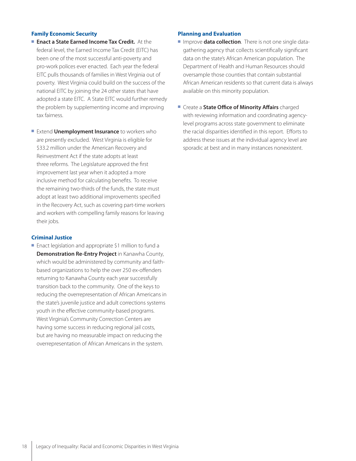#### **Family Economic Security**

- **Enact a State Earned Income Tax Credit.** At the federal level, the Earned Income Tax Credit (EITC) has been one of the most successful anti-poverty and pro-work polices ever enacted. Each year the federal EITC pulls thousands of families in West Virginia out of poverty. West Virginia could build on the success of the national EITC by joining the 24 other states that have adopted a state EITC. A State EITC would further remedy the problem by supplementing income and improving tax fairness.
- **Extend Unemployment Insurance** to workers who are presently excluded. West Virginia is eligible for \$33.2 million under the American Recovery and Reinvestment Act if the state adopts at least three reforms. The Legislature approved the first improvement last year when it adopted a more inclusive method for calculating benefits. To receive the remaining two-thirds of the funds, the state must adopt at least two additional improvements specified in the Recovery Act, such as covering part-time workers and workers with compelling family reasons for leaving their jobs.

#### **Criminal Justice**

■ Enact legislation and appropriate \$1 million to fund a **Demonstration Re-Entry Project** in Kanawha County, which would be administered by community and faithbased organizations to help the over 250 ex-offenders returning to Kanawha County each year successfully transition back to the community. One of the keys to reducing the overrepresentation of African Americans in the state's juvenile justice and adult corrections systems youth in the effective community-based programs. West Virginia's Community Correction Centers are having some success in reducing regional jail costs, but are having no measurable impact on reducing the overrepresentation of African Americans in the system.

#### **Planning and Evaluation**

- **Improve data collection**. There is not one single datagathering agency that collects scientifically significant data on the state's African American population. The Department of Health and Human Resources should oversample those counties that contain substantial African American residents so that current data is always available on this minority population.
- **E** Create a **State Office of Minority Affairs** charged with reviewing information and coordinating agencylevel programs across state government to eliminate the racial disparities identified in this report. Efforts to address these issues at the individual agency level are sporadic at best and in many instances nonexistent.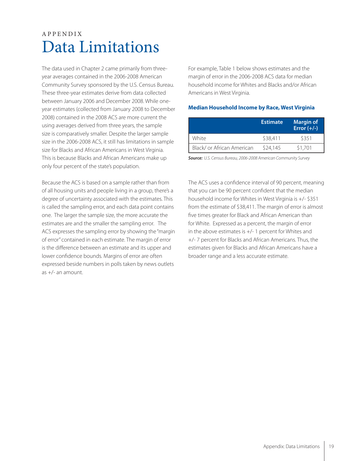### APPENDIX Data Limitations

The data used in Chapter 2 came primarily from threeyear averages contained in the 2006-2008 American Community Survey sponsored by the U.S. Census Bureau. These three-year estimates derive from data collected between January 2006 and December 2008. While oneyear estimates (collected from January 2008 to December 2008) contained in the 2008 ACS are more current the using averages derived from three years, the sample size is comparatively smaller. Despite the larger sample size in the 2006-2008 ACS, it still has limitations in sample size for Blacks and African Americans in West Virginia. This is because Blacks and African Americans make up only four percent of the state's population.

Because the ACS is based on a sample rather than from of all housing units and people living in a group, there's a degree of uncertainty associated with the estimates. This is called the sampling error, and each data point contains one. The larger the sample size, the more accurate the estimates are and the smaller the sampling error. The ACS expresses the sampling error by showing the "margin of error" contained in each estimate. The margin of error is the difference between an estimate and its upper and lower confidence bounds. Margins of error are often expressed beside numbers in polls taken by news outlets as +/- an amount.

For example, Table 1 below shows estimates and the margin of error in the 2006-2008 ACS data for median household income for Whites and Blacks and/or African Americans in West Virginia.

#### **Median Household Income by Race, West Virginia**

|                            | <b>Estimate</b> | <b>Margin of</b><br>Error $(+/-)$ |
|----------------------------|-----------------|-----------------------------------|
| White                      | \$38,411        | \$351                             |
| Black/ or African American | \$24,145        | \$1,701                           |

**Source:** U.S. Census Bureau, 2006-2008 American Community Survey

The ACS uses a confidence interval of 90 percent, meaning that you can be 90 percent confident that the median household income for Whites in West Virginia is +/- \$351 from the estimate of \$38,411. The margin of error is almost five times greater for Black and African American than for White. Expressed as a percent, the margin of error in the above estimates is +/- 1 percent for Whites and +/- 7 percent for Blacks and African Americans. Thus, the estimates given for Blacks and African Americans have a broader range and a less accurate estimate.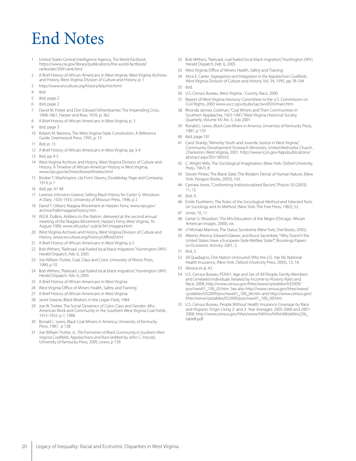# End Notes

- United States Central Intelligence Agency, The World Factbook, https://www.cia.gov/library/publications/the-world-factbook/ rankorder/2091rank.html
- 2 A Brief History of African Americans in West Virginia. West Virginia Archives and History, West Virginia Division of Culture and History, p. 1
- 3 http://www.wvculture.org/history/blachist.html
- 4 ibid
- 5 ibid, page 2
- 6 ibid, page 2
- David M. Potter and Don Edward Fehrenbacher, The Impending Crisis, 1848-1861, Harper and Row, 1976, p. 362
- 8 A Brief History of African Americans in West Virginia, p. 3
- 9 ibid, page 3
- 10 Robert M. Bastress, The West Virginia State Constitution: A Reference Guide, Greenwood Press, 1995, p. 13
- 11 ibid, p. 13
- 12 A Brief History of African Americans in West Virginia, pp 3-4
- 13 ibid, pp 4-5
- 14 West Virginia Archives and History, West Virginia Division of Culture and History, A Timeline of African-American History in West Virginia, www.nps.gov/archives/bowa/btwbio.html
- 15 Booker T. Washington, Up From Slavery, Doubleday, Page and Company, 1919, p 7
- 16 ibid, pp. 47-48
- 17 Lorenzo Johnston Greene, Selling Black History for Carter G. Woodson: A Diary, 1920-1933, University of Missouri Press, 1996, p 2
- 18 David T. Gilbert, Niagara Movement at Harpers Ferry, www.nps.gov/ archive/hafe/niagara/history.htm
- 19 W.E.B. DuBois, Address to the Nation, delivered at the second annual meeting of the Niagara Movement, Harper's Ferry, West Virginia, 16 August 1900, www.wfu.edu/~zulick/341/niagara.html
- 20 West Virginia Archives and History, West Virginia Division of Culture and History, www.wvculture.org/history/clifford.html
- 21 A Brief History of African Americans in West Virginia, p 5
- 22 Bob Withers, "Railroad, coal fueled local black migration," Huntington (WV) Herald Dispatch, Feb. 6, 2005
- 23 Joe William Trotter, Coal, Class and Color, University of Illinois Press, 1990, p 10
- 24 Bob Withers, "Railroad, coal fueled local black migration," Huntington (WV) Herald Dispatch, Feb. 6, 2005
- 25 A Brief History of African Americans in West Virginia
- 26 West Virginia Office of Miners Health, Safety and Training
- 27 A Brief History of African Americans in West Virginia
- 28 Janet Greene, Black Workers in the Logan Field, 1984
- 29 Joe W. Trotter, The Social Dynamics of Color, Class and Gender: Afro-American Work and Community in the Southern West Virginia Coal Fields, 1915-1932, p 7, 1988
- 30 Ronald L. Lewis, Black Coal Miners in America, University of Kentucky Press, 1987, p 138
- 31 Joe William Trotter, Jr., The Formation of Black Community in Southern West Virginia Coalfields, Appalachians and Race (edited by John C. Inscoe), University of Kentucky Press, 2005; Lewis, p 139
- 32 Bob Withers, "Railroad, coal fueled local black migration," Huntington (WV) Herald Dispatch, Feb. 6, 2005
- 33 West Virginia Office of Miners Health, Safety and Training
- 34 Alice E. Carter, Segregation and Integration in the Appalachian Coalfields, West Virginia Division of Culture and History, Vol. 54, 1995, pp 78-104
- 35 ibid.
- 36 U.S. Census Bureau, West Virginia County, Race, 2000
- 37 Report of West Virginia Advisory Committee to the U.S. Commission on Civil Rights, 2003 www.usccr.gov/pubs/sac/wv0503/main.htm
- 38 Rhonda Janney Coleman, "Coal Miners and Their Communities in Southern Appalachia, 1925-1941," West Virginia Historical Society Quarterly, Volume XV, No. 3, July 2001
- Ronald L. Lewis, Black Coal Miners in America, University of Kentucky Press, 1987, p 170
- 40 ibid, page 181
- 41 Carol Sharlip, "Minority Youth and Juvenile Justice in West Virginia," Community Development Outreach Ministries, United Methodist Church, Charleston, West Virginia, 2001. http://www.ncjrs.gov/App/publications/ abstract.aspx?ID=189335
- 42 C. Wright Mills, The Sociological Imagination, (New York: Oxford University Press, 1967), 8.
- 43 Steven Pinker, The Blank Slate: The Modern Denial of Human Nature, (New York: Penguin Books, 2003), 143.
- 44 Camara Jones, "Confronting Institutionalized Racism," Phylon 50 (2003), 11, 12.
- 45 ibid, 9.
- 46 Emile Durkheim, The Rules of the Sociological Method and Selected Texts on Sociology and Its Method, (New York, The Free Press, 1982), 52.
- 47 Jones, 10, 11.
- 48 Carter G. Woodson, The Mis-Education of the Negro (Chicago: African American Images, 2000), xix.
- 49 cf Michael Marmot, The Status Syndrome (New York, Owl Books, 2005).
- 50 Alberto Alesina, Edward Glaeser, and Bruce Sacerdote, "Why Doesn't the United States Have a European-Style Welfare State?", Brookings Papers on Economic Activity, 2001, 3.
- 51 ibid, 3.
- 52 Jill Quadagno, One Nation Uninsured: Why the U.S. Has No National Health Insurance, (New York, Oxford University Press, 2005), 13, 14.
- 53 Alesina et al, 43.
- 54 U.S. Census Bureau, POV01: Age and Sex of All People, Family Members and Unrelated Individuals Iterated by Income-to-Poverty Ratio and Race: 2008, http://www.census.gov/hhes/www/cpstables/032009/ pov/new01\_100\_03.htm. See also http://www.census.gov/hhes/www/ cpstables/032009/pov/new01\_100\_06.htm and http://www.census.gov/ hhes/www/cpstables/032009/pov/new01\_100\_09.htm.
- U.S. Census Bureau, People Without Health Insurance Coverage by Race and Hispanic Origin Using 2- and 3- Year Averages: 2005-2006 and 2007- 2008, http://www.census.gov/hhes/www/hlthins/hlthin08/p60no236\_ table8.pdf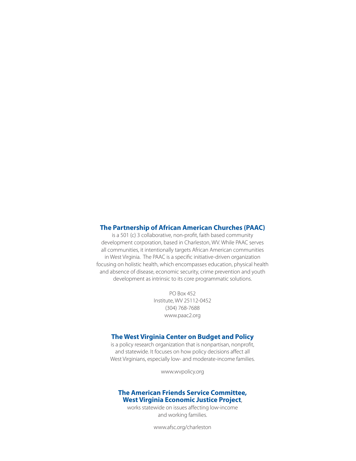#### **The Partnership of African American Churches (PAAC)**

is a 501 (c) 3 collaborative, non-profit, faith based community development corporation, based in Charleston, WV. While PAAC serves all communities, it intentionally targets African American communities in West Virginia. The PAAC is a specific initiative-driven organization focusing on holistic health, which encompasses education, physical health and absence of disease, economic security, crime prevention and youth development as intrinsic to its core programmatic solutions.

> PO Box 452 Institute, WV 25112-0452 (304) 768-7688 www.paac2.org

#### **The West Virginia Center on Budget and Policy**

is a policy research organization that is nonpartisan, nonprofit, and statewide. It focuses on how policy decisions affect all West Virginians, especially low- and moderate-income families.

www.wvpolicy.org

#### **The American Friends Service Committee, West Virginia Economic Justice Project**,

works statewide on issues affecting low-income and working families.

www.afsc.org/charleston